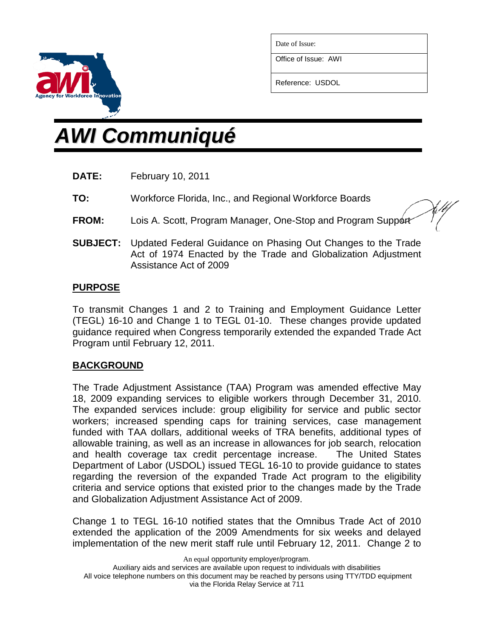

Date of Issue:

Office of Issue: AWI

Reference: USDOL

# *AWI Communiqué*

- **DATE:** February 10, 2011
- **TO:** Workforce Florida, Inc., and Regional Workforce Boards

**FROM:** Lois A. Scott, Program Manager, One-Stop and Program Support

**SUBJECT:** Updated Federal Guidance on Phasing Out Changes to the Trade Act of 1974 Enacted by the Trade and Globalization Adjustment Assistance Act of 2009

## **PURPOSE**

To transmit Changes 1 and 2 to Training and Employment Guidance Letter (TEGL) 16-10 and Change 1 to TEGL 01-10. These changes provide updated guidance required when Congress temporarily extended the expanded Trade Act Program until February 12, 2011.

## **BACKGROUND**

The Trade Adjustment Assistance (TAA) Program was amended effective May 18, 2009 expanding services to eligible workers through December 31, 2010. The expanded services include: group eligibility for service and public sector workers; increased spending caps for training services, case management funded with TAA dollars, additional weeks of TRA benefits, additional types of allowable training, as well as an increase in allowances for job search, relocation and health coverage tax credit percentage increase. The United States Department of Labor (USDOL) issued TEGL 16-10 to provide guidance to states regarding the reversion of the expanded Trade Act program to the eligibility criteria and service options that existed prior to the changes made by the Trade and Globalization Adjustment Assistance Act of 2009.

Change 1 to TEGL 16-10 notified states that the Omnibus Trade Act of 2010 extended the application of the 2009 Amendments for six weeks and delayed implementation of the new merit staff rule until February 12, 2011. Change 2 to